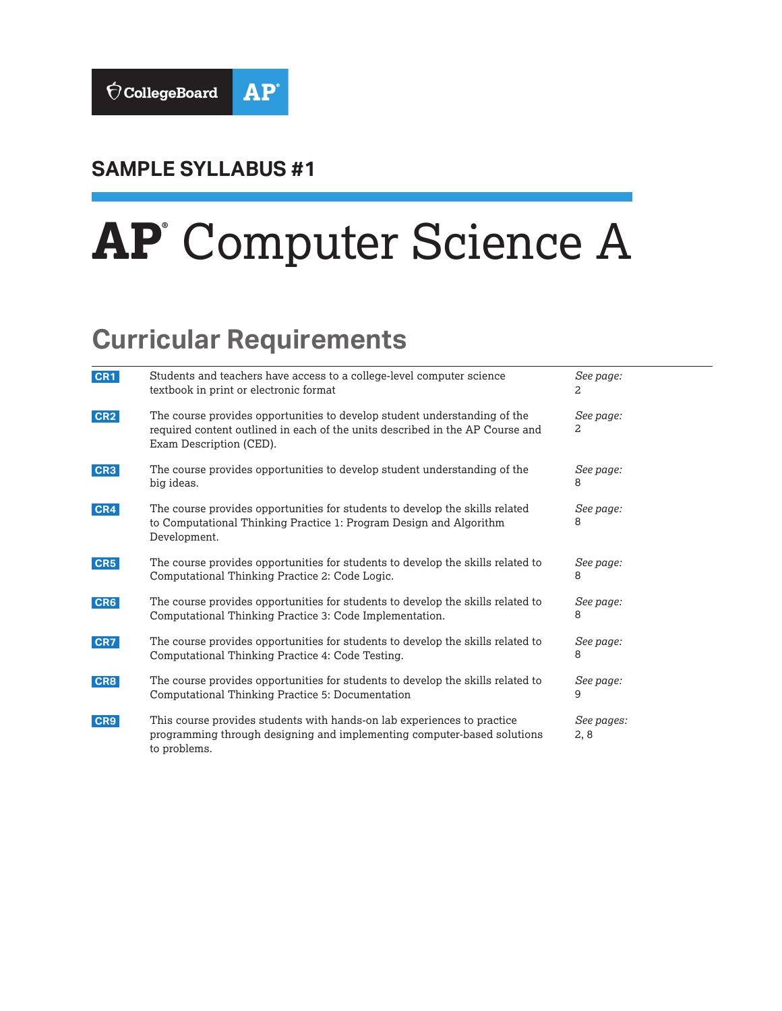

# **SAMPLE SYLLABUS #1**

# **AP®** Computer Science A

# **Curricular Requirements**

| CR1             | Students and teachers have access to a college-level computer science<br>textbook in print or electronic format                                                                       | See page:<br>2     |
|-----------------|---------------------------------------------------------------------------------------------------------------------------------------------------------------------------------------|--------------------|
| CR <sub>2</sub> | The course provides opportunities to develop student understanding of the<br>required content outlined in each of the units described in the AP Course and<br>Exam Description (CED). | See page:<br>2     |
| CR3             | The course provides opportunities to develop student understanding of the<br>big ideas.                                                                                               | See page:<br>8     |
| CR4             | The course provides opportunities for students to develop the skills related<br>to Computational Thinking Practice 1: Program Design and Algorithm<br>Development.                    | See page:<br>8     |
| CR5             | The course provides opportunities for students to develop the skills related to<br>Computational Thinking Practice 2: Code Logic.                                                     | See page:<br>8     |
| CR6             | The course provides opportunities for students to develop the skills related to<br>Computational Thinking Practice 3: Code Implementation.                                            | See page:<br>8     |
| CR7             | The course provides opportunities for students to develop the skills related to<br>Computational Thinking Practice 4: Code Testing.                                                   | See page:<br>8     |
| CR8             | The course provides opportunities for students to develop the skills related to<br>Computational Thinking Practice 5: Documentation                                                   | See page:<br>9     |
| CR9             | This course provides students with hands-on lab experiences to practice<br>programming through designing and implementing computer-based solutions<br>to problems.                    | See pages:<br>2, 8 |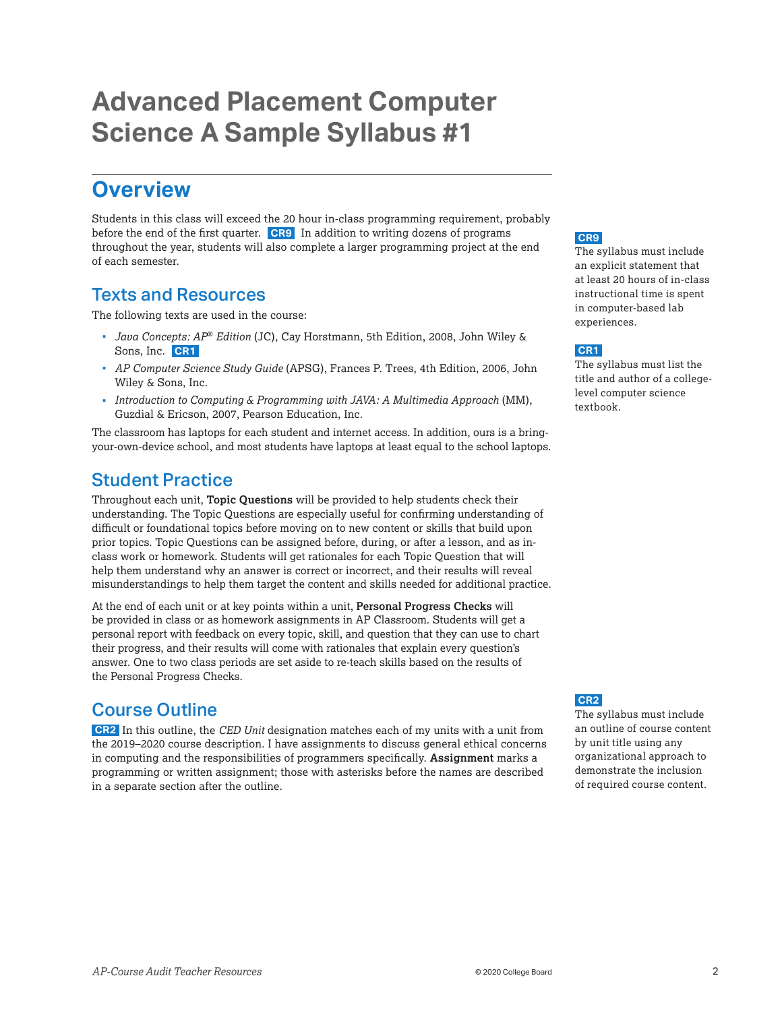# <span id="page-1-0"></span>**Advanced Placement Computer Science A Sample Syllabus #1**

# **Overview**

Students in this class will exceed the 20 hour in-class programming requirement, probably before the end of the first quarter. **CR9** In addition to writing dozens of programs throughout the year, students will also complete a larger programming project at the end of each semester.

## Texts and Resources

The following texts are used in the course:

- *Java Concepts: AP*® *Edition* (JC), Cay Horstmann, 5th Edition, 2008, John Wiley & Sons, Inc. **CR1**
- *AP Computer Science Study Guide* (APSG), Frances P. Trees, 4th Edition, 2006, John Wiley & Sons, Inc.
- *Introduction to Computing & Programming with JAVA: A Multimedia Approach* (MM), Guzdial & Ericson, 2007, Pearson Education, Inc.

The classroom has laptops for each student and internet access. In addition, ours is a bringyour-own-device school, and most students have laptops at least equal to the school laptops.

## Student Practice

Throughout each unit, **Topic Questions** will be provided to help students check their understanding. The Topic Questions are especially useful for confirming understanding of difficult or foundational topics before moving on to new content or skills that build upon prior topics. Topic Questions can be assigned before, during, or after a lesson, and as inclass work or homework. Students will get rationales for each Topic Question that will help them understand why an answer is correct or incorrect, and their results will reveal misunderstandings to help them target the content and skills needed for additional practice.

At the end of each unit or at key points within a unit, **Personal Progress Checks** will be provided in class or as homework assignments in AP Classroom. Students will get a personal report with feedback on every topic, skill, and question that they can use to chart their progress, and their results will come with rationales that explain every question's answer. One to two class periods are set aside to re-teach skills based on the results of the Personal Progress Checks.

# Course Outline

**CR2** In this outline, the *CED Unit* designation matches each of my units with a unit from the 2019–2020 course description. I have assignments to discuss general ethical concerns in computing and the responsibilities of programmers specifically. **Assignment** marks a programming or written assignment; those with asterisks before the names are described in a separate section after the outline.

#### **CR9**

The syllabus must include an explicit statement that at least 20 hours of in-class instructional time is spent in computer-based lab experiences.

#### **CR1**

The syllabus must list the title and author of a collegelevel computer science textbook.

#### **CR2**

The syllabus must include an outline of course content by unit title using any organizational approach to demonstrate the inclusion of required course content.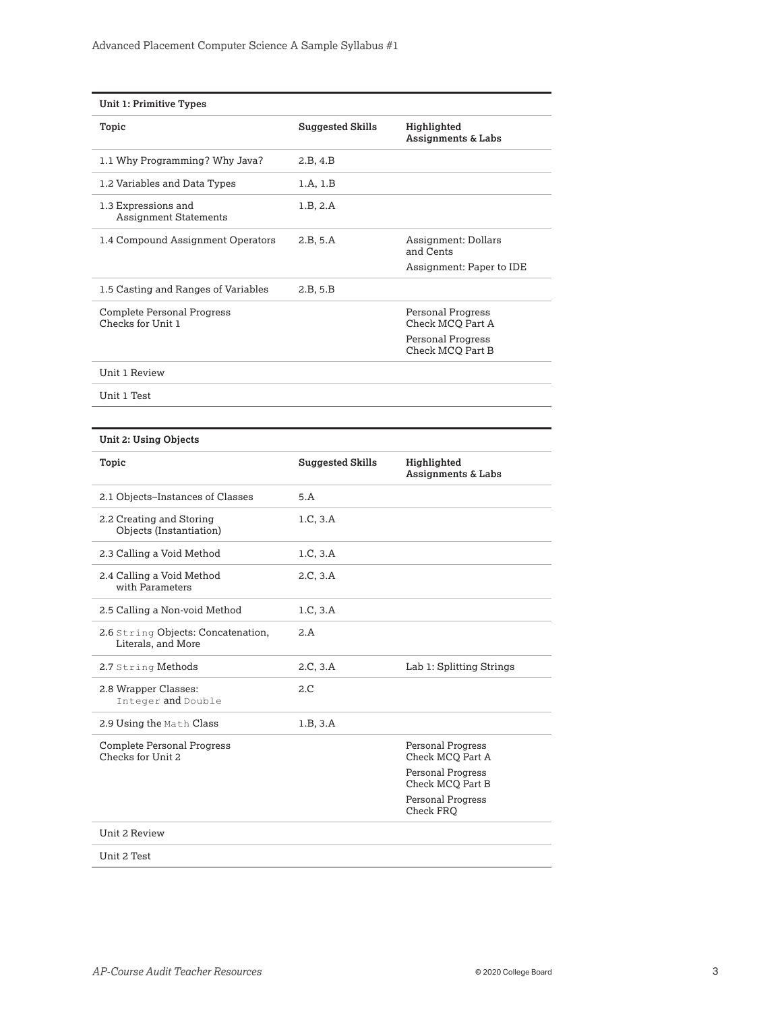| <b>Unit 1: Primitive Types</b>                         |                         |                                       |
|--------------------------------------------------------|-------------------------|---------------------------------------|
| Topic                                                  | <b>Suggested Skills</b> | Highlighted<br>Assignments & Labs     |
| 1.1 Why Programming? Why Java?                         | 2.B. 4.B                |                                       |
| 1.2 Variables and Data Types                           | 1.A, 1.B                |                                       |
| 1.3 Expressions and<br><b>Assignment Statements</b>    | 1.B. 2.A                |                                       |
| 1.4 Compound Assignment Operators                      | 2.B. 5.A                | Assignment: Dollars<br>and Cents      |
|                                                        |                         | Assignment: Paper to IDE              |
| 1.5 Casting and Ranges of Variables                    | 2.B, 5.B                |                                       |
| <b>Complete Personal Progress</b><br>Checks for Unit 1 |                         | Personal Progress<br>Check MCO Part A |
|                                                        |                         | Personal Progress<br>Check MCO Part B |
| Unit 1 Review                                          |                         |                                       |

Unit 1 Test

| Topic                                                    | <b>Suggested Skills</b> | Highlighted<br><b>Assignments &amp; Labs</b> |
|----------------------------------------------------------|-------------------------|----------------------------------------------|
| 2.1 Objects-Instances of Classes                         | 5.A                     |                                              |
| 2.2 Creating and Storing<br>Objects (Instantiation)      | 1.C, 3.A                |                                              |
| 2.3 Calling a Void Method                                | 1.C, 3.A                |                                              |
| 2.4 Calling a Void Method<br>with Parameters             | 2.C. 3.A                |                                              |
| 2.5 Calling a Non-void Method                            | 1.C, 3.A                |                                              |
| 2.6 String Objects: Concatenation,<br>Literals, and More | 2.A                     |                                              |
| 2.7 String Methods                                       | 2.C. 3.A                | Lab 1: Splitting Strings                     |
| 2.8 Wrapper Classes:<br>Integer and Double               | 2.C                     |                                              |
| 2.9 Using the Math Class                                 | 1.B, 3.A                |                                              |
| <b>Complete Personal Progress</b><br>Checks for Unit 2   |                         | Personal Progress<br>Check MCO Part A        |
|                                                          |                         | <b>Personal Progress</b><br>Check MCQ Part B |
|                                                          |                         | Personal Progress<br>Check FRO               |
| Unit 2 Review                                            |                         |                                              |
| Unit 2 Test                                              |                         |                                              |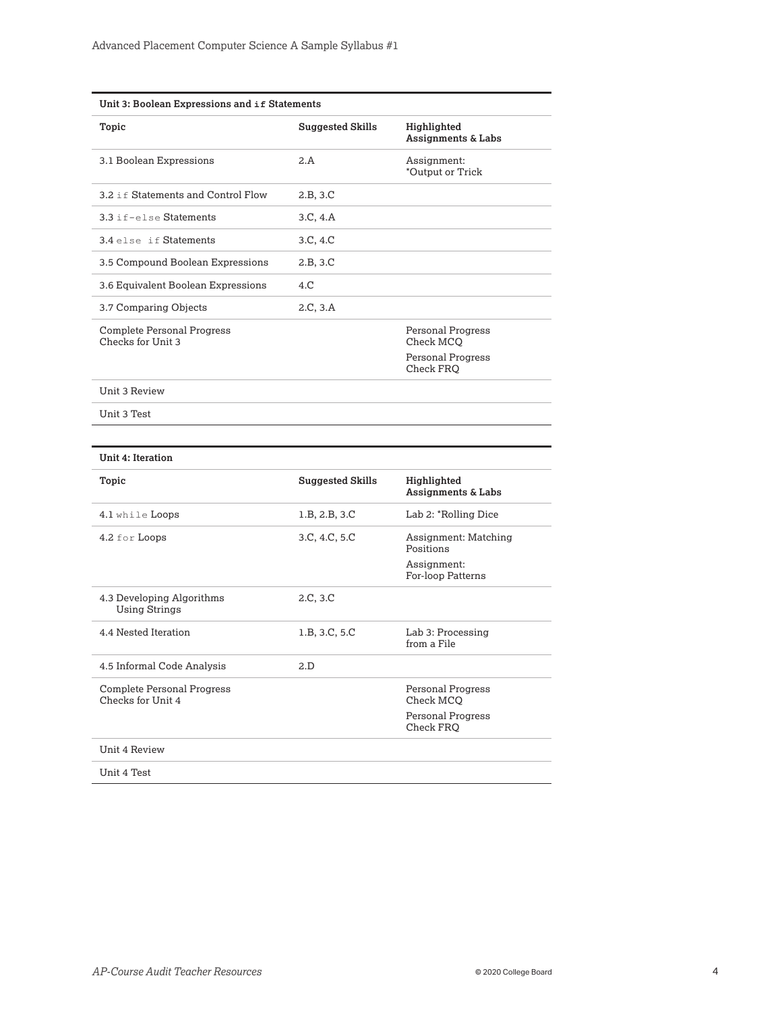| Unit 3: Boolean Expressions and if Statements          |                         |                                              |  |
|--------------------------------------------------------|-------------------------|----------------------------------------------|--|
| Topic                                                  | <b>Suggested Skills</b> | Highlighted<br><b>Assignments &amp; Labs</b> |  |
| 3.1 Boolean Expressions                                | 2.A                     | Assignment:<br>*Output or Trick              |  |
| 3.2 if Statements and Control Flow                     | 2.B, 3.C                |                                              |  |
| 3.3 if-else Statements                                 | 3.C, 4.A                |                                              |  |
| 3.4 else if Statements                                 | 3.C, 4.C                |                                              |  |
| 3.5 Compound Boolean Expressions                       | 2.B, 3.C                |                                              |  |
| 3.6 Equivalent Boolean Expressions                     | 4.C                     |                                              |  |
| 3.7 Comparing Objects                                  | 2.C, 3.A                |                                              |  |
| <b>Complete Personal Progress</b><br>Checks for Unit 3 |                         | Personal Progress<br>Check MCO               |  |
|                                                        |                         | <b>Personal Progress</b><br>Check FRO        |  |
| Unit 3 Review                                          |                         |                                              |  |
| Unit 3 Test                                            |                         |                                              |  |
|                                                        |                         |                                              |  |
| <b>Unit 4: Iteration</b>                               |                         |                                              |  |
| Topic                                                  | <b>Suggested Skills</b> | Highlighted<br>Assignments & Labs            |  |
| 4.1 while Loops                                        | 1.B, 2.B, 3.C           | Lab 2: *Rolling Dice                         |  |
| 4.2 for Loops                                          | 3.C, 4.C, 5.C           | Assignment: Matching<br>Positions            |  |
|                                                        |                         | Assignment:<br>For-loop Patterns             |  |
| 4.3 Developing Algorithms<br><b>Using Strings</b>      | 2.C, 3.C                |                                              |  |
| 4.4 Nested Iteration                                   | 1.B, 3.C, 5.C           | Lab 3: Processing<br>from a File             |  |
| 4.5 Informal Code Analysis                             | 2.D                     |                                              |  |
| Complete Personal Progress<br>Checks for Unit 4        |                         | <b>Personal Progress</b><br>Check MCQ        |  |
|                                                        |                         | <b>Personal Progress</b><br>Check FRO        |  |
| Unit 4 Review                                          |                         |                                              |  |
| Unit 4 Test                                            |                         |                                              |  |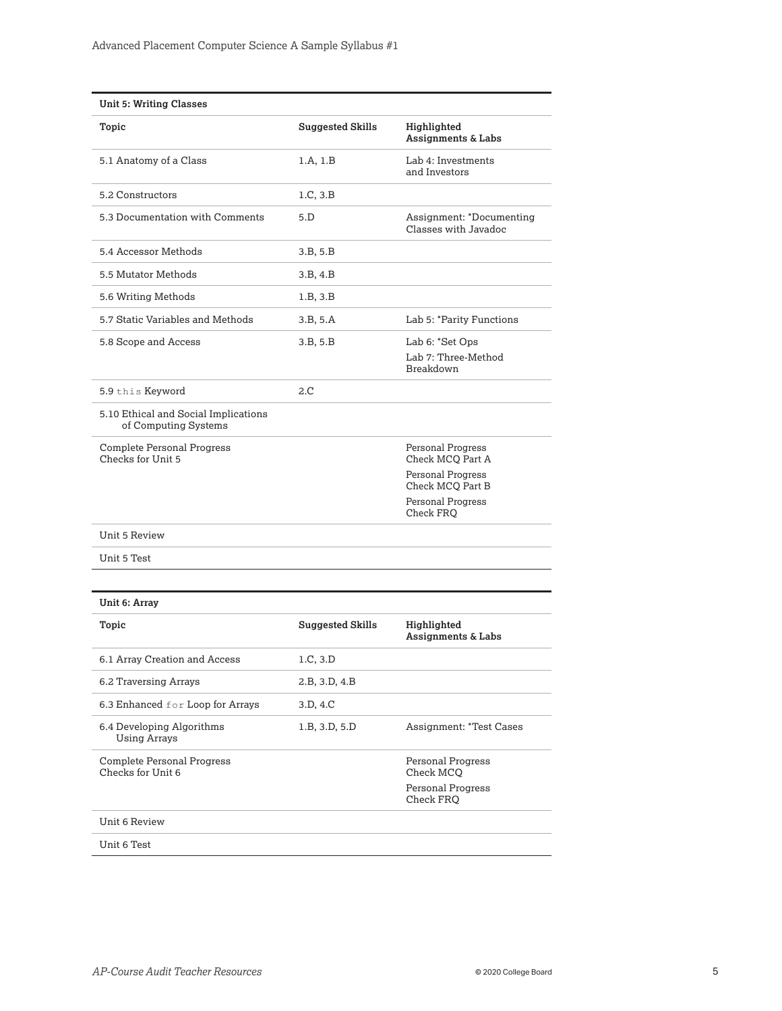| <b>Unit 5: Writing Classes</b>                               |                         |                                                            |
|--------------------------------------------------------------|-------------------------|------------------------------------------------------------|
| Topic                                                        | <b>Suggested Skills</b> | Highlighted<br>Assignments & Labs                          |
| 5.1 Anatomy of a Class                                       | 1.A, 1.B                | Lab 4: Investments<br>and Investors                        |
| 5.2 Constructors                                             | 1.C, 3.B                |                                                            |
| 5.3 Documentation with Comments                              | 5.D                     | Assignment: *Documenting<br>Classes with Javadoc           |
| 5.4 Accessor Methods                                         | 3.B, 5.B                |                                                            |
| 5.5 Mutator Methods                                          | 3.B, 4.B                |                                                            |
| 5.6 Writing Methods                                          | 1.B, 3.B                |                                                            |
| 5.7 Static Variables and Methods                             | 3.B, 5.A                | Lab 5: *Parity Functions                                   |
| 5.8 Scope and Access                                         | 3.B, 5.B                | Lab 6: *Set Ops<br>Lab 7: Three-Method<br><b>Breakdown</b> |
| 5.9 this Keyword                                             | 2.C                     |                                                            |
| 5.10 Ethical and Social Implications<br>of Computing Systems |                         |                                                            |
| Complete Personal Progress<br>Checks for Unit 5              |                         | Personal Progress<br>Check MCQ Part A                      |
|                                                              |                         | Personal Progress<br>Check MCQ Part B                      |
|                                                              |                         | Personal Progress<br>Check FRO                             |
| <b>Unit 5 Review</b>                                         |                         |                                                            |
| Unit 5 Test                                                  |                         |                                                            |
| Unit 6: Array                                                |                         |                                                            |
| Topic                                                        | <b>Suggested Skills</b> | Highlighted<br>Assignments & Labs                          |
| 6.1 Array Creation and Access                                | 1.C, 3.D                |                                                            |
| 6.2 Traversing Arrays                                        | 2.B, 3.D, 4.B           |                                                            |
| 6.3 Enhanced for Loop for Arrays                             | 3.D, 4.C                |                                                            |
| 6.4 Developing Algorithms<br><b>Using Arrays</b>             | 1.B, 3.D, 5.D           | <b>Assignment: *Test Cases</b>                             |
| <b>Complete Personal Progress</b><br>Checks for Unit 6       |                         | <b>Personal Progress</b><br>Check MCQ                      |
|                                                              |                         | <b>Personal Progress</b><br>Check FRQ                      |
| <b>Unit 6 Review</b>                                         |                         |                                                            |
| Unit 6 Test                                                  |                         |                                                            |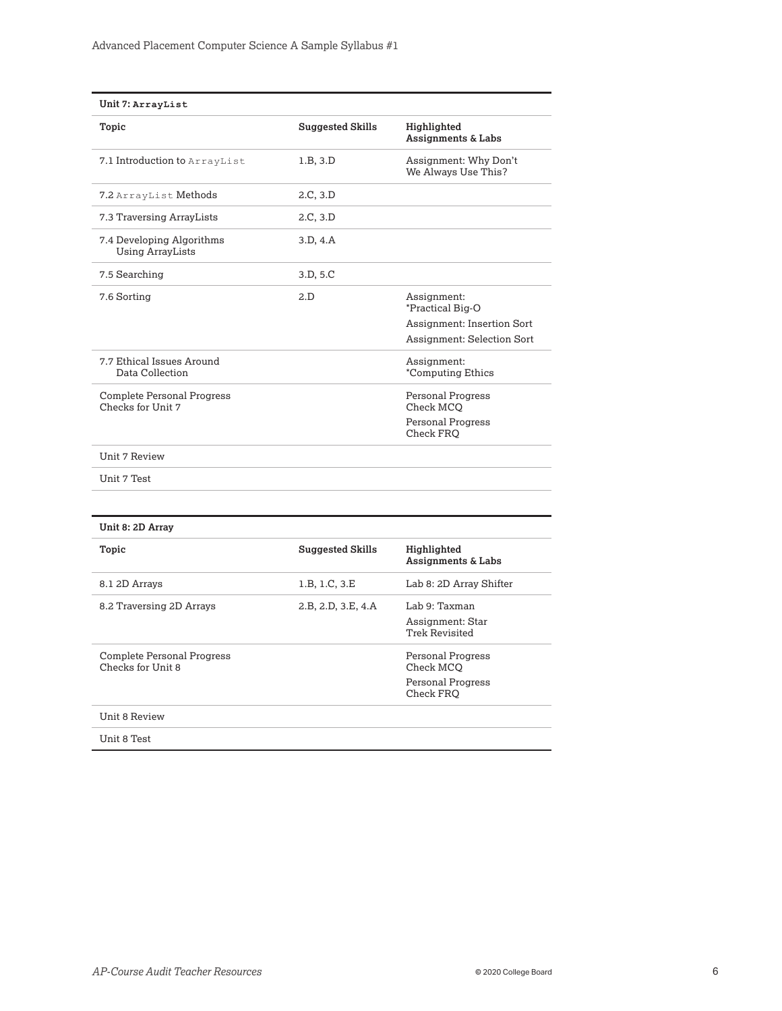| Unit 7: ArrayList                                      |                         |                                              |
|--------------------------------------------------------|-------------------------|----------------------------------------------|
| Topic                                                  | <b>Suggested Skills</b> | Highlighted<br><b>Assignments &amp; Labs</b> |
| 7.1 Introduction to ArrayList                          | 1.B. 3.D.               | Assignment: Why Don't<br>We Always Use This? |
| 7.2 ArrayList Methods                                  | 2.C, 3.D                |                                              |
| 7.3 Traversing ArrayLists                              | 2.C, 3.D                |                                              |
| 7.4 Developing Algorithms<br><b>Using ArrayLists</b>   | 3.D. 4.A                |                                              |
| 7.5 Searching                                          | 3.D, 5.C                |                                              |
| 7.6 Sorting                                            | 2.D                     | Assignment:<br>*Practical Big-O              |
|                                                        |                         | <b>Assignment: Insertion Sort</b>            |
|                                                        |                         | <b>Assignment: Selection Sort</b>            |
| 7.7 Ethical Issues Around<br>Data Collection           |                         | Assignment:<br>*Computing Ethics             |
| <b>Complete Personal Progress</b><br>Checks for Unit 7 |                         | <b>Personal Progress</b><br>Check MCO        |
|                                                        |                         | <b>Personal Progress</b><br>Check FRO        |
| Unit 7 Review                                          |                         |                                              |
| Unit 7 Test                                            |                         |                                              |
|                                                        |                         |                                              |
| Unit 8: 2D Array                                       |                         |                                              |
| Topic                                                  | <b>Suggested Skills</b> | Highlighted<br>Assignments & Labs            |
| 8.1 2D Arrays                                          | 1.B, 1.C, 3.E           | Lab 8: 2D Array Shifter                      |
| 8.2 Traversing 2D Arrays                               | 2.B, 2.D, 3.E, 4.A      | Lab 9: Taxman                                |
|                                                        |                         | Assignment: Star<br><b>Trek Revisited</b>    |
| Complete Personal Progress                             |                         | Personal Progress                            |

Personal Progress Check MCQ Personal Progress Check FRQ

Unit 8 Review

Checks for Unit 8

Unit 8 Test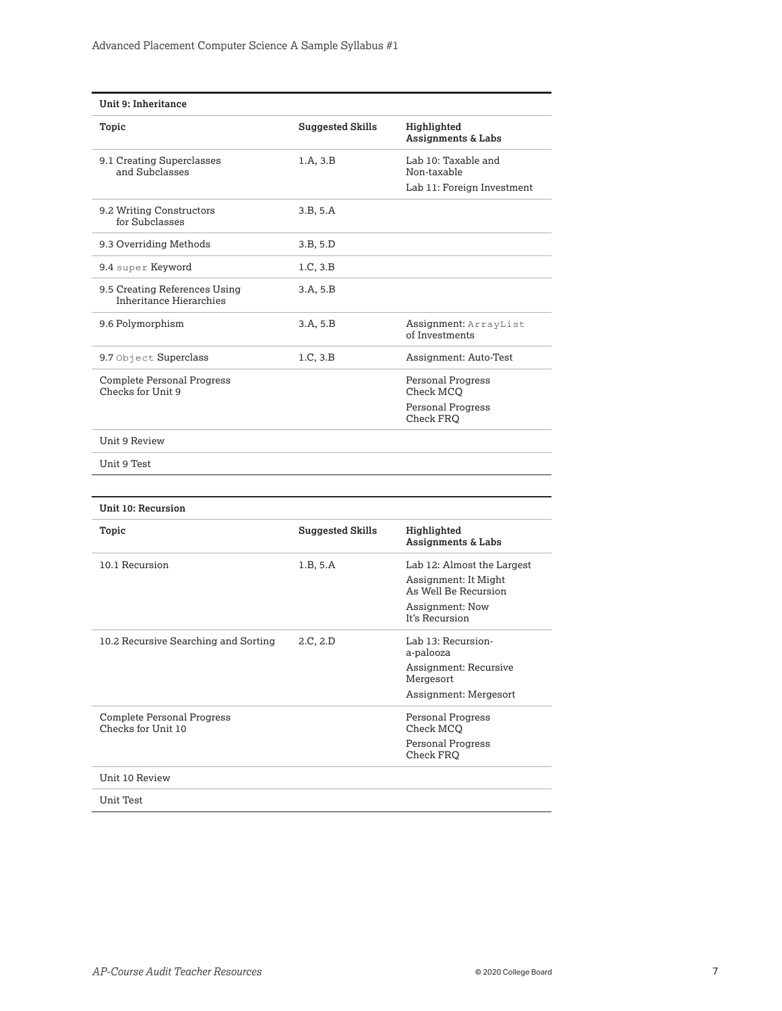| Unit 9: Inheritance                                      |                         |                                              |
|----------------------------------------------------------|-------------------------|----------------------------------------------|
| Topic                                                    | <b>Suggested Skills</b> | Highlighted<br><b>Assignments &amp; Labs</b> |
| 9.1 Creating Superclasses<br>and Subclasses              | 1.A.3.B                 | Lab 10: Taxable and<br>Non-taxable           |
|                                                          |                         | Lab 11: Foreign Investment                   |
| 9.2 Writing Constructors<br>for Subclasses               | 3.B. 5.A                |                                              |
| 9.3 Overriding Methods                                   | 3.B. 5.D                |                                              |
| 9.4 super Keyword                                        | 1.C, 3.B                |                                              |
| 9.5 Creating References Using<br>Inheritance Hierarchies | 3.A, 5.B                |                                              |
| 9.6 Polymorphism                                         | 3.A, 5.B                | Assignment: ArrayList<br>of Investments      |
| 9.7 Object Superclass                                    | 1.C, 3.B                | Assignment: Auto-Test                        |
| <b>Complete Personal Progress</b><br>Checks for Unit 9   |                         | <b>Personal Progress</b><br>Check MCO        |
|                                                          |                         | <b>Personal Progress</b><br>Check FRO        |
| Unit 9 Review                                            |                         |                                              |
| Unit 9 Test                                              |                         |                                              |
| Unit 10: Recursion                                       |                         |                                              |
| Topic                                                    | <b>Suggested Skills</b> | Highlighted<br>Assignments & Labs            |
| 10.1 Recursion                                           | 1.B. 5.A                | Lab 12: Almost the Largest                   |
|                                                          |                         | Assignment: It Might<br>As Well Be Recursion |
|                                                          |                         | <b>Assignment: Now</b><br>It's Recursion     |
| 10.2 Recursive Searching and Sorting                     | 2.C, 2.D                | Lab 13: Recursion-<br>a-palooza              |
|                                                          |                         | Assignment: Recursive<br>Mergesort           |
|                                                          |                         | Assignment: Mergesort                        |

Personal Progress Check MCQ Personal Progress Check FRQ

Unit Test

Unit 10 Review

Complete Personal Progress Checks for Unit 10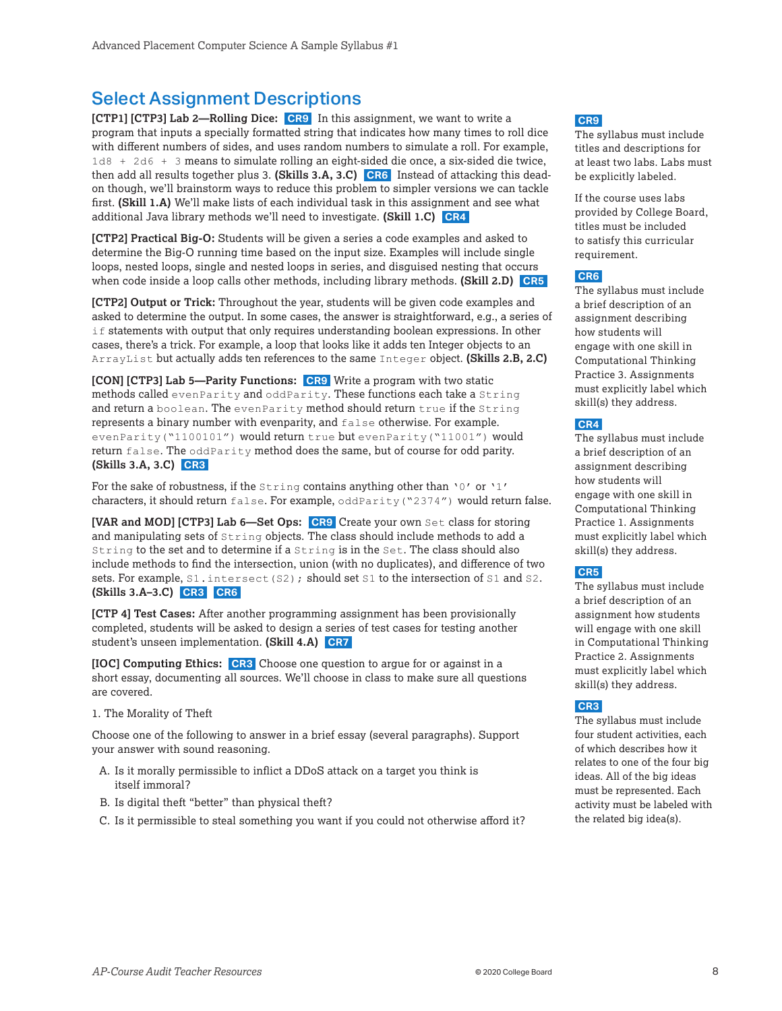### <span id="page-7-0"></span>Select Assignment Descriptions

**[CTP1] [CTP3] Lab 2—Rolling Dice: CR9** In this assignment, we want to write a program that inputs a specially formatted string that indicates how many times to roll dice with different numbers of sides, and uses random numbers to simulate a roll. For example, 1d8 + 2d6 + 3 means to simulate rolling an eight-sided die once, a six-sided die twice, then add all results together plus 3. **(Skills 3.A, 3.C) CR6** Instead of attacking this deadon though, we'll brainstorm ways to reduce this problem to simpler versions we can tackle first. **(Skill 1.A)** We'll make lists of each individual task in this assignment and see what additional Java library methods we'll need to investigate. **(Skill 1.C) CR4** 

**[CTP2] Practical Big-O:** Students will be given a series a code examples and asked to determine the Big-O running time based on the input size. Examples will include single loops, nested loops, single and nested loops in series, and disguised nesting that occurs when code inside a loop calls other methods, including library methods. **(Skill 2.D) CR5** 

**[CTP2] Output or Trick:** Throughout the year, students will be given code examples and asked to determine the output. In some cases, the answer is straightforward, e.g., a series of if statements with output that only requires understanding boolean expressions. In other cases, there's a trick. For example, a loop that looks like it adds ten Integer objects to an ArrayList but actually adds ten references to the same Integer object. **(Skills 2.B, 2.C)** 

**[CON] [CTP3] Lab 5—Parity Functions: CR9** Write a program with two static methods called evenParity and oddParity. These functions each take a String and return a boolean. The evenParity method should return true if the String represents a binary number with evenparity, and false otherwise. For example. evenParity("1100101") would return true but evenParity("11001") would return  $false$ . The  $oddParity$  method does the same, but of course for odd parity. **(Skills 3.A, 3.C) CR3** 

For the sake of robustness, if the  $String$  contains anything other than '0' or '1' characters, it should return false. For example, oddParity("2374") would return false.

**[VAR and MOD] [CTP3] Lab 6—Set Ops: CR9** Create your own Set class for storing and manipulating sets of String objects. The class should include methods to add a String to the set and to determine if a String is in the Set. The class should also include methods to find the intersection, union (with no duplicates), and difference of two sets. For example, S1. intersect(S2); should set S1 to the intersection of S1 and S2. **(Skills 3.A–3.C) CR3 CR6** 

**[CTP 4] Test Cases:** After another programming assignment has been provisionally completed, students will be asked to design a series of test cases for testing another student's unseen implementation. **(Skill 4.A) CR7** 

**[IOC] Computing Ethics: CR3** Choose one question to argue for or against in a short essay, documenting all sources. We'll choose in class to make sure all questions are covered.

1. The Morality of Theft

Choose one of the following to answer in a brief essay (several paragraphs). Support your answer with sound reasoning.

- A. Is it morally permissible to inflict a DDoS attack on a target you think is itself immoral?
- B. Is digital theft "better" than physical theft?
- C. Is it permissible to steal something you want if you could not otherwise afford it?

#### **CR9**

The syllabus must include titles and descriptions for at least two labs. Labs must be explicitly labeled.

If the course uses labs provided by College Board, titles must be included to satisfy this curricular requirement.

#### **CR6**

The syllabus must include a brief description of an assignment describing how students will engage with one skill in Computational Thinking Practice 3. Assignments must explicitly label which skill(s) they address.

#### **CR4**

The syllabus must include a brief description of an assignment describing how students will engage with one skill in Computational Thinking Practice 1. Assignments must explicitly label which skill(s) they address.

#### **CR5**

The syllabus must include a brief description of an assignment how students will engage with one skill in Computational Thinking Practice 2. Assignments must explicitly label which skill(s) they address.

#### **CR3**

The syllabus must include four student activities, each of which describes how it relates to one of the four big ideas. All of the big ideas must be represented. Each activity must be labeled with the related big idea(s).